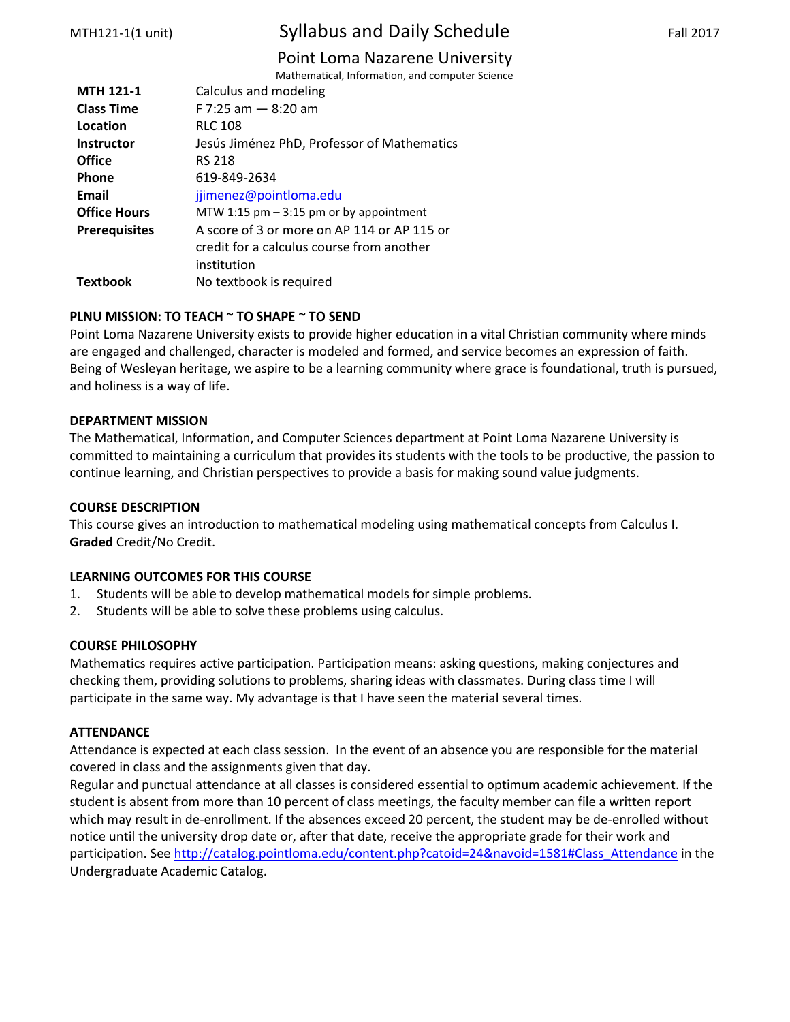# MTH121-1(1 unit) Syllabus and Daily Schedule Fall 2017

# Point Loma Nazarene University

Mathematical, Information, and computer Science

| <b>MTH 121-1</b>     | Calculus and modeling                       |
|----------------------|---------------------------------------------|
| <b>Class Time</b>    | $F$ 7:25 am $-$ 8:20 am                     |
| Location             | <b>RLC 108</b>                              |
| <b>Instructor</b>    | Jesús Jiménez PhD, Professor of Mathematics |
| <b>Office</b>        | <b>RS 218</b>                               |
| <b>Phone</b>         | 619-849-2634                                |
| Email                | jjimenez@pointloma.edu                      |
| <b>Office Hours</b>  | MTW 1:15 $pm - 3:15$ pm or by appointment   |
| <b>Prerequisites</b> | A score of 3 or more on AP 114 or AP 115 or |
|                      | credit for a calculus course from another   |
|                      | institution                                 |
| <b>Textbook</b>      | No textbook is required                     |
|                      |                                             |

# **PLNU MISSION: TO TEACH ~ TO SHAPE ~ TO SEND**

Point Loma Nazarene University exists to provide higher education in a vital Christian community where minds are engaged and challenged, character is modeled and formed, and service becomes an expression of faith. Being of Wesleyan heritage, we aspire to be a learning community where grace is foundational, truth is pursued, and holiness is a way of life.

### **DEPARTMENT MISSION**

The Mathematical, Information, and Computer Sciences department at Point Loma Nazarene University is committed to maintaining a curriculum that provides its students with the tools to be productive, the passion to continue learning, and Christian perspectives to provide a basis for making sound value judgments.

# **COURSE DESCRIPTION**

This course gives an introduction to mathematical modeling using mathematical concepts from Calculus I. **Graded** Credit/No Credit.

### **LEARNING OUTCOMES FOR THIS COURSE**

- 1. Students will be able to develop mathematical models for simple problems.
- 2. Students will be able to solve these problems using calculus.

# **COURSE PHILOSOPHY**

Mathematics requires active participation. Participation means: asking questions, making conjectures and checking them, providing solutions to problems, sharing ideas with classmates. During class time I will participate in the same way. My advantage is that I have seen the material several times.

### **ATTENDANCE**

Attendance is expected at each class session. In the event of an absence you are responsible for the material covered in class and the assignments given that day.

Regular and punctual attendance at all classes is considered essential to optimum academic achievement. If the student is absent from more than 10 percent of class meetings, the faculty member can file a written report which may result in de-enrollment. If the absences exceed 20 percent, the student may be de-enrolled without notice until the university drop date or, after that date, receive the appropriate grade for their work and participation. See [http://catalog.pointloma.edu/content.php?catoid=24&navoid=1581#Class\\_Attendance](http://catalog.pointloma.edu/content.php?catoid=24&navoid=1581#Class_Attendance) in the Undergraduate Academic Catalog.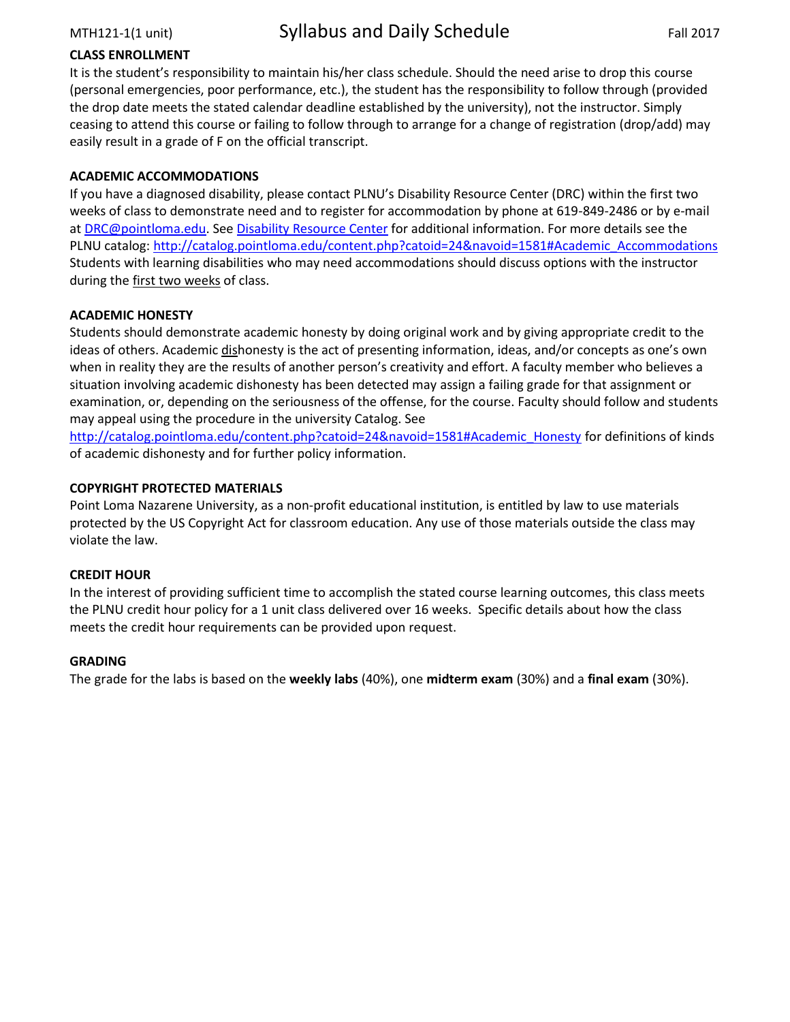# **CLASS ENROLLMENT**

It is the student's responsibility to maintain his/her class schedule. Should the need arise to drop this course (personal emergencies, poor performance, etc.), the student has the responsibility to follow through (provided the drop date meets the stated calendar deadline established by the university), not the instructor. Simply ceasing to attend this course or failing to follow through to arrange for a change of registration (drop/add) may easily result in a grade of F on the official transcript.

# **ACADEMIC ACCOMMODATIONS**

If you have a diagnosed disability, please contact PLNU's Disability Resource Center (DRC) within the first two weeks of class to demonstrate need and to register for accommodation by phone at 619-849-2486 or by e-mail at [DRC@pointloma.edu.](mailto:DRC@pointloma.edu) See [Disability Resource Center](http://www.pointloma.edu/experience/offices/administrative-offices/academic-advising-office/disability-resource-center) for additional information. For more details see the PLNU catalog: [http://catalog.pointloma.edu/content.php?catoid=24&navoid=1581#Academic\\_Accommodations](http://catalog.pointloma.edu/content.php?catoid=24&navoid=1581#Academic_Accommodations)  Students with learning disabilities who may need accommodations should discuss options with the instructor during the first two weeks of class.

# **ACADEMIC HONESTY**

Students should demonstrate academic honesty by doing original work and by giving appropriate credit to the ideas of others. Academic dishonesty is the act of presenting information, ideas, and/or concepts as one's own when in reality they are the results of another person's creativity and effort. A faculty member who believes a situation involving academic dishonesty has been detected may assign a failing grade for that assignment or examination, or, depending on the seriousness of the offense, for the course. Faculty should follow and students may appeal using the procedure in the university Catalog. See

[http://catalog.pointloma.edu/content.php?catoid=24&navoid=1581#Academic\\_Honesty](http://catalog.pointloma.edu/content.php?catoid=24&navoid=1581#Academic_Honesty) for definitions of kinds of academic dishonesty and for further policy information.

# **COPYRIGHT PROTECTED MATERIALS**

Point Loma Nazarene University, as a non-profit educational institution, is entitled by law to use materials protected by the US Copyright Act for classroom education. Any use of those materials outside the class may violate the law.

### **CREDIT HOUR**

In the interest of providing sufficient time to accomplish the stated course learning outcomes, this class meets the PLNU credit hour policy for a 1 unit class delivered over 16 weeks. Specific details about how the class meets the credit hour requirements can be provided upon request.

### **GRADING**

The grade for the labs is based on the **weekly labs** (40%), one **midterm exam** (30%) and a **final exam** (30%).